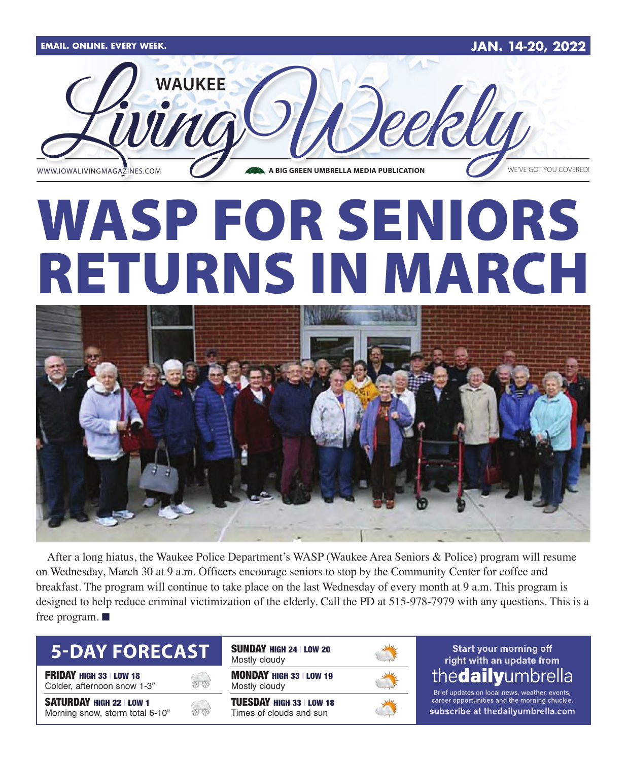

# WASP FOR SENIORS RETURNS IN MARCH



After a long hiatus, the Waukee Police Department's WASP (Waukee Area Seniors & Police) program will resume on Wednesday, March 30 at 9 a.m. Officers encourage seniors to stop by the Community Center for coffee and breakfast. The program will continue to take place on the last Wednesday of every month at 9 a.m. This program is designed to help reduce criminal victimization of the elderly. Call the PD at 515-978-7979 with any questions. This is a free program.  $\blacksquare$ 

### **5-DAY FORECAST**

**FRIDAY HIGH 33 | LOW 18** 

Colder, afternoon snow 1-3"

SATURDAY HIGH 22 | LOW 1 Morning snow, storm total 6-10"

| <b>SUNDAY HIGH 24   LOW 20</b><br>Mostly cloudy            |  |
|------------------------------------------------------------|--|
| <b>MONDAY HIGH 33   LOW 19</b><br>Mostly cloudy            |  |
| <b>TUESDAY HIGH 33   LOW 18</b><br>Times of clouds and sun |  |

#### **Start your morning off** right with an update from the**daily**umbrella

Brief updates on local news, weather, events, career opportunities and the morning chuckle subscribe at thedailyumbrella.com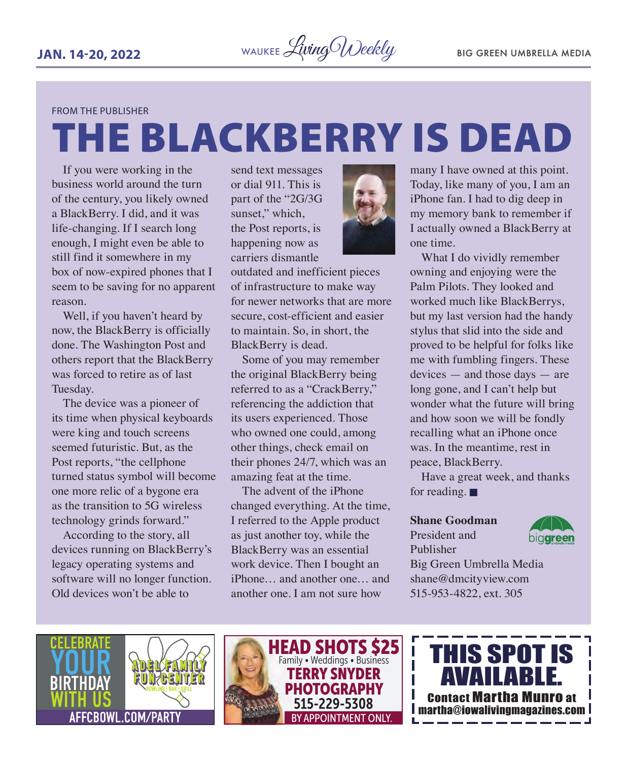#### FROM THE PUBLISHER

# THE BLACKBERRY IS DEAD

If you were working in the business world around the turn of the century, you likely owned a BlackBerry. I did, and it was life-changing. If I search long enough, I might even be able to still find it somewhere in my box of now-expired phones that I seem to be saving for no apparent reason.

Well, if you haven't heard by now, the BlackBerry is officially done. The Washington Post and others report that the BlackBerry was forced to retire as of last Tuesday.

The device was a pioneer of its time when physical keyboards were king and touch screens seemed futuristic. But, as the Post reports, "the cellphone turned status symbol will become one more relic of a bygone era as the transition to 5G wireless technology grinds forward."

According to the story, all devices running on BlackBerry's legacy operating systems and software will no longer function. Old devices won't be able to

send text messages or dial 911. This is part of the "2G/3G sunset," which, the Post reports, is happening now as carriers dismantle



outdated and inefficient pieces of infrastructure to make way for newer networks that are more secure, cost-efficient and easier to maintain. So, in short, the BlackBerry is dead.

Some of you may remember the original BlackBerry being referred to as a "CrackBerry," referencing the addiction that its users experienced. Those who owned one could, among other things, check email on their phones 24/7, which was an amazing feat at the time.

The advent of the iPhone changed everything. At the time, I referred to the Apple product as just another toy, while the BlackBerry was an essential work device. Then I bought an iPhone… and another one… and another one. I am not sure how

many I have owned at this point. Today, like many of you, I am an iPhone fan. I had to dig deep in my memory bank to remember if I actually owned a BlackBerry at one time.

What I do vividly remember owning and enjoying were the Palm Pilots. They looked and worked much like BlackBerrys, but my last version had the handy stylus that slid into the side and proved to be helpful for folks like me with fumbling fingers. These devices — and those days — are long gone, and I can't help but wonder what the future will bring and how soon we will be fondly recalling what an iPhone once was. In the meantime, rest in peace, BlackBerry.

Have a great week, and thanks for reading.  $\blacksquare$ 

#### **Shane Goodman**

President and Publisher



Big Green Umbrella Media shane@dmcityview.com 515-953-4822, ext. 305





THIS SPOT IS AVAILABLE. Contact Martha Munro at martha@iowalivingmagazines.com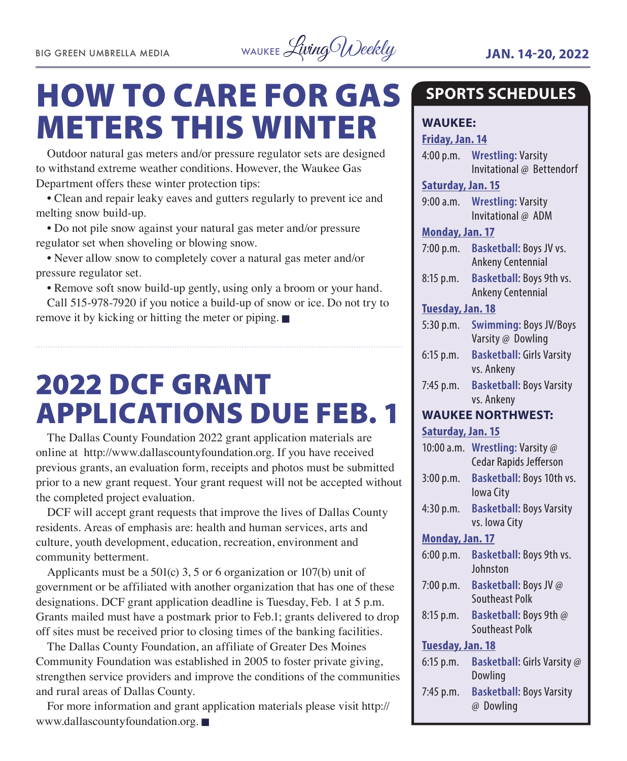

## HOW TO CARE FOR GAS METERS THIS WINTER

Outdoor natural gas meters and/or pressure regulator sets are designed to withstand extreme weather conditions. However, the Waukee Gas Department offers these winter protection tips:

• Clean and repair leaky eaves and gutters regularly to prevent ice and melting snow build-up.

• Do not pile snow against your natural gas meter and/or pressure regulator set when shoveling or blowing snow.

• Never allow snow to completely cover a natural gas meter and/or pressure regulator set.

• Remove soft snow build-up gently, using only a broom or your hand.

Call 515-978-7920 if you notice a build-up of snow or ice. Do not try to remove it by kicking or hitting the meter or piping.  $\blacksquare$ 

## 2022 DCF GRANT APPLICATIONS DUE FEB. 1

The Dallas County Foundation 2022 grant application materials are online at http://www.dallascountyfoundation.org. If you have received previous grants, an evaluation form, receipts and photos must be submitted prior to a new grant request. Your grant request will not be accepted without the completed project evaluation.

DCF will accept grant requests that improve the lives of Dallas County residents. Areas of emphasis are: health and human services, arts and culture, youth development, education, recreation, environment and community betterment.

Applicants must be a 501(c) 3, 5 or 6 organization or 107(b) unit of government or be affiliated with another organization that has one of these designations. DCF grant application deadline is Tuesday, Feb. 1 at 5 p.m. Grants mailed must have a postmark prior to Feb.1; grants delivered to drop off sites must be received prior to closing times of the banking facilities.

The Dallas County Foundation, an affiliate of Greater Des Moines Community Foundation was established in 2005 to foster private giving, strengthen service providers and improve the conditions of the communities and rural areas of Dallas County.

For more information and grant application materials please visit http:// www.dallascountyfoundation.org.  $\blacksquare$ 

### **SPORTS SCHEDULES**

#### **WAUKEE:**

**Friday, Jan. 14** 4:00 p.m. **Wrestling:** Varsity

Invitational @ Bettendorf

**Saturday, Jan. 15**

9:00 a.m. **Wrestling:** Varsity Invitational @ ADM

#### **Monday, Jan. 17**

- 7:00 p.m. **Basketball:** Boys JV vs. Ankeny Centennial
- 8:15 p.m. **Basketball:** Boys 9th vs. Ankeny Centennial

#### **Tuesday, Jan. 18**

| $5:30$ p.m. | <b>Swimming: Boys JV/Boys</b>    |
|-------------|----------------------------------|
|             | Varsity @ Dowling                |
| $6:15$ p.m. | <b>Basketball: Girls Varsity</b> |

vs. Ankeny 7:45 p.m. **Basketball:** Boys Varsity vs. Ankeny

#### **WAUKEE NORTHWEST:**

**Saturday, Jan. 15**

| 10:00a.m.              | <b>Wrestling: Varsity @</b><br><b>Cedar Rapids Jefferson</b> |  |
|------------------------|--------------------------------------------------------------|--|
| 3:00 p.m.              | Basketball: Boys 10th vs.<br>lowa City                       |  |
| 4:30 p.m.              | <b>Basketball: Boys Varsity</b><br>vs. Iowa City             |  |
| <b>Monday, Jan. 17</b> |                                                              |  |
| 6:00 p.m.              | <b>Basketball: Boys 9th vs.</b><br>Johnston                  |  |
| 7:00 p.m.              | <b>Basketball: Boys JV @</b><br>Southeast Polk               |  |
| $8:15$ p.m.            | <b>Basketball: Boys 9th @</b><br>Southeast Polk              |  |
| Tuesday, Jan. 18       |                                                              |  |
| $6:15$ p.m.            | Basketball: Girls Varsity @<br>Dowling                       |  |
| 7:45 p.m.              | <b>Basketball: Boys Varsity</b><br>@ Dowling                 |  |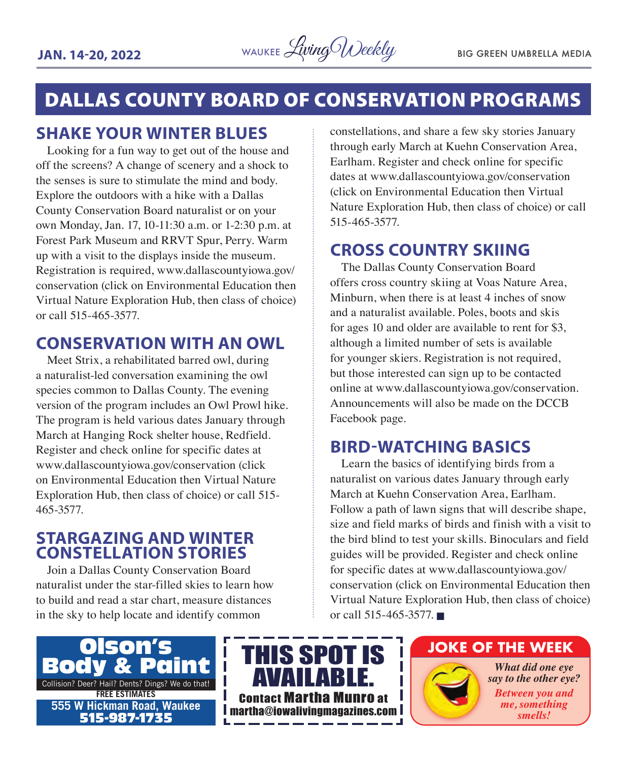

### DALLAS COUNTY BOARD OF CONSERVATION PROGRAMS

#### **SHAKE YOUR WINTER BLUES**

Looking for a fun way to get out of the house and off the screens? A change of scenery and a shock to the senses is sure to stimulate the mind and body. Explore the outdoors with a hike with a Dallas County Conservation Board naturalist or on your own Monday, Jan. 17, 10-11:30 a.m. or 1-2:30 p.m. at Forest Park Museum and RRVT Spur, Perry. Warm up with a visit to the displays inside the museum. Registration is required, www.dallascountyiowa.gov/ conservation (click on Environmental Education then Virtual Nature Exploration Hub, then class of choice) or call 515-465-3577.

#### **CONSERVATION WITH AN OWL**

Meet Strix, a rehabilitated barred owl, during a naturalist-led conversation examining the owl species common to Dallas County. The evening version of the program includes an Owl Prowl hike. The program is held various dates January through March at Hanging Rock shelter house, Redfield. Register and check online for specific dates at www.dallascountyiowa.gov/conservation (click on Environmental Education then Virtual Nature Exploration Hub, then class of choice) or call 515- 465-3577.

#### **STARGAZING AND WINTER CONSTELLATION STORIES**

Join a Dallas County Conservation Board naturalist under the star-filled skies to learn how to build and read a star chart, measure distances in the sky to help locate and identify common

constellations, and share a few sky stories January through early March at Kuehn Conservation Area, Earlham. Register and check online for specific dates at www.dallascountyiowa.gov/conservation (click on Environmental Education then Virtual Nature Exploration Hub, then class of choice) or call 515-465-3577.

#### **CROSS COUNTRY SKIING**

The Dallas County Conservation Board offers cross country skiing at Voas Nature Area, Minburn, when there is at least 4 inches of snow and a naturalist available. Poles, boots and skis for ages 10 and older are available to rent for \$3, although a limited number of sets is available for younger skiers. Registration is not required, but those interested can sign up to be contacted online at www.dallascountyiowa.gov/conservation. Announcements will also be made on the DCCB Facebook page.

#### **BIRD-WATCHING BASICS**

Learn the basics of identifying birds from a naturalist on various dates January through early March at Kuehn Conservation Area, Earlham. Follow a path of lawn signs that will describe shape, size and field marks of birds and finish with a visit to the bird blind to test your skills. Binoculars and field guides will be provided. Register and check online for specific dates at www.dallascountyiowa.gov/ conservation (click on Environmental Education then Virtual Nature Exploration Hub, then class of choice) or call 515-465-3577.





#### **JOKE OF THE WEEK**

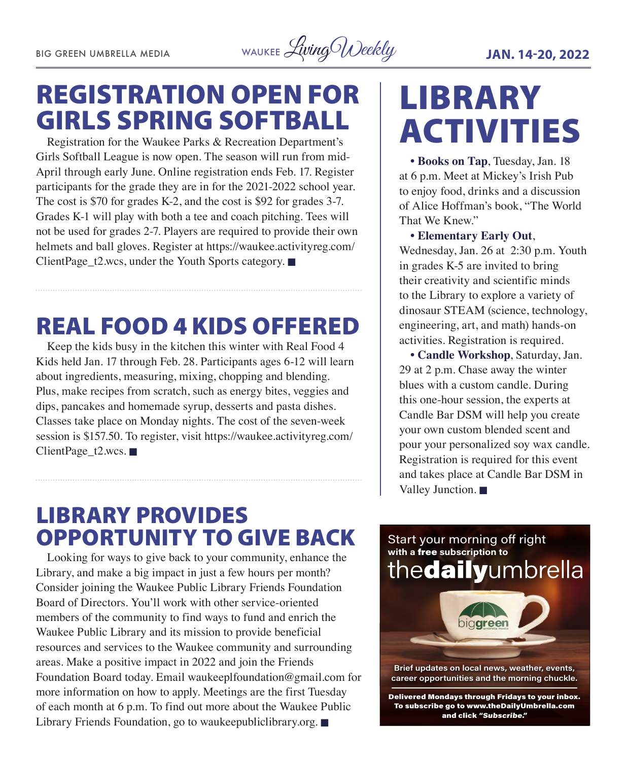BIG GREEN UMBRELLA MEDIA WAUKEE Living Weekly **JAN. 14-20, 2022** 

## REGISTRATION OPEN FOR GIRLS SPRING SOFTBALL

Registration for the Waukee Parks & Recreation Department's Girls Softball League is now open. The season will run from mid-April through early June. Online registration ends Feb. 17. Register participants for the grade they are in for the 2021-2022 school year. The cost is \$70 for grades K-2, and the cost is \$92 for grades 3-7. Grades K-1 will play with both a tee and coach pitching. Tees will not be used for grades 2-7. Players are required to provide their own helmets and ball gloves. Register at https://waukee.activityreg.com/ ClientPage\_t2.wcs, under the Youth Sports category.  $\blacksquare$ 

## REAL FOOD 4 KIDS OFFERED

Keep the kids busy in the kitchen this winter with Real Food 4 Kids held Jan. 17 through Feb. 28. Participants ages 6-12 will learn about ingredients, measuring, mixing, chopping and blending. Plus, make recipes from scratch, such as energy bites, veggies and dips, pancakes and homemade syrup, desserts and pasta dishes. Classes take place on Monday nights. The cost of the seven-week session is \$157.50. To register, visit https://waukee.activityreg.com/ ClientPage\_t2.wcs.

## LIBRARY ACTIVITIES

**• Books on Tap**, Tuesday, Jan. 18 at 6 p.m. Meet at Mickey's Irish Pub to enjoy food, drinks and a discussion of Alice Hoffman's book, "The World That We Knew."

#### **• Elementary Early Out**,

Wednesday, Jan. 26 at 2:30 p.m. Youth in grades K-5 are invited to bring their creativity and scientific minds to the Library to explore a variety of dinosaur STEAM (science, technology, engineering, art, and math) hands-on activities. Registration is required.

**• Candle Workshop**, Saturday, Jan. 29 at 2 p.m. Chase away the winter blues with a custom candle. During this one-hour session, the experts at Candle Bar DSM will help you create your own custom blended scent and pour your personalized soy wax candle. Registration is required for this event and takes place at Candle Bar DSM in Valley Junction.  $\blacksquare$ 

## LIBRARY PROVIDES OPPORTUNITY TO GIVE BACK

Looking for ways to give back to your community, enhance the Library, and make a big impact in just a few hours per month? Consider joining the Waukee Public Library Friends Foundation Board of Directors. You'll work with other service-oriented members of the community to find ways to fund and enrich the Waukee Public Library and its mission to provide beneficial resources and services to the Waukee community and surrounding areas. Make a positive impact in 2022 and join the Friends Foundation Board today. Email waukeeplfoundation@gmail.com for more information on how to apply. Meetings are the first Tuesday of each month at 6 p.m. To find out more about the Waukee Public Library Friends Foundation, go to waukeepubliclibrary.org.  $\blacksquare$ 

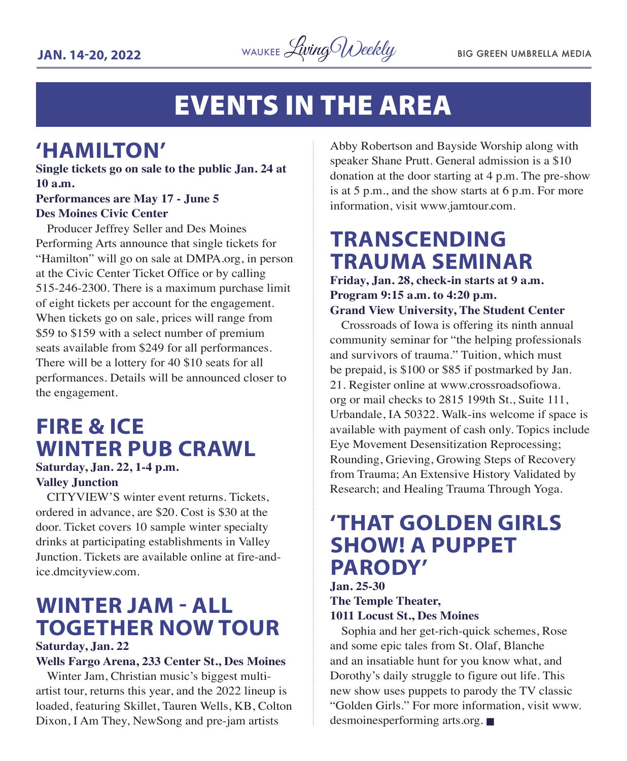

## EVENTS IN THE AREA

### **'HAMILTON'**

**Single tickets go on sale to the public Jan. 24 at 10 a.m.**

#### **Performances are May 17 - June 5 Des Moines Civic Center**

Producer Jeffrey Seller and Des Moines Performing Arts announce that single tickets for "Hamilton" will go on sale at DMPA.org, in person at the Civic Center Ticket Office or by calling 515-246-2300. There is a maximum purchase limit of eight tickets per account for the engagement. When tickets go on sale, prices will range from \$59 to \$159 with a select number of premium seats available from \$249 for all performances. There will be a lottery for 40 \$10 seats for all performances. Details will be announced closer to the engagement.

## **FIRE & ICE WINTER PUB CRAWL**

#### **Saturday, Jan. 22, 1-4 p.m. Valley Junction**

CITYVIEW'S winter event returns. Tickets, ordered in advance, are \$20. Cost is \$30 at the door. Ticket covers 10 sample winter specialty drinks at participating establishments in Valley Junction. Tickets are available online at fire-andice.dmcityview.com.

## **WINTER JAM - ALL TOGETHER NOW TOUR**

#### **Saturday, Jan. 22**

#### **Wells Fargo Arena, 233 Center St., Des Moines**

Winter Jam, Christian music's biggest multiartist tour, returns this year, and the 2022 lineup is loaded, featuring Skillet, Tauren Wells, KB, Colton Dixon, I Am They, NewSong and pre-jam artists

Abby Robertson and Bayside Worship along with speaker Shane Prutt. General admission is a \$10 donation at the door starting at 4 p.m. The pre-show is at 5 p.m., and the show starts at 6 p.m. For more information, visit www.jamtour.com.

## **TRANSCENDING TRAUMA SEMINAR**

**Friday, Jan. 28, check-in starts at 9 a.m. Program 9:15 a.m. to 4:20 p.m. Grand View University, The Student Center**

Crossroads of Iowa is offering its ninth annual community seminar for "the helping professionals and survivors of trauma." Tuition, which must be prepaid, is \$100 or \$85 if postmarked by Jan. 21. Register online at www.crossroadsofiowa. org or mail checks to 2815 199th St., Suite 111, Urbandale, IA 50322. Walk-ins welcome if space is available with payment of cash only. Topics include Eye Movement Desensitization Reprocessing; Rounding, Grieving, Growing Steps of Recovery from Trauma; An Extensive History Validated by Research; and Healing Trauma Through Yoga.

### **'THAT GOLDEN GIRLS SHOW! A PUPPET PARODY'**

#### **Jan. 25-30 The Temple Theater, 1011 Locust St., Des Moines**

Sophia and her get-rich-quick schemes, Rose and some epic tales from St. Olaf, Blanche and an insatiable hunt for you know what, and Dorothy's daily struggle to figure out life. This new show uses puppets to parody the TV classic "Golden Girls." For more information, visit www. desmoinesperforming arts.org.  $\blacksquare$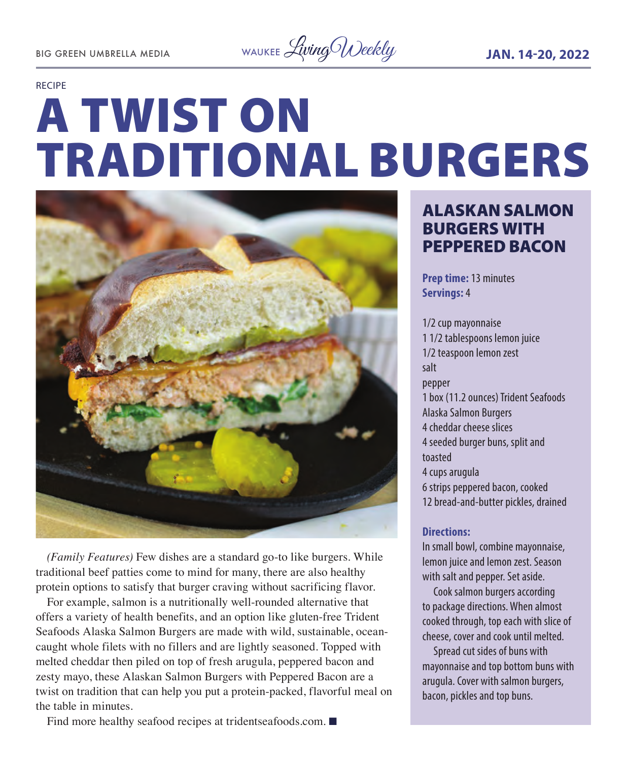BIG GREEN UMBRELLA MEDIA WAUKEE Living Weekly **JAN. 14-20, 2022** 

#### RECIPE

# A TWIST ON TRADITIONAL BURGERS



*(Family Features)* Few dishes are a standard go-to like burgers. While traditional beef patties come to mind for many, there are also healthy protein options to satisfy that burger craving without sacrificing flavor.

For example, salmon is a nutritionally well-rounded alternative that offers a variety of health benefits, and an option like gluten-free Trident Seafoods Alaska Salmon Burgers are made with wild, sustainable, oceancaught whole filets with no fillers and are lightly seasoned. Topped with melted cheddar then piled on top of fresh arugula, peppered bacon and zesty mayo, these Alaskan Salmon Burgers with Peppered Bacon are a twist on tradition that can help you put a protein-packed, flavorful meal on the table in minutes.

Find more healthy seafood recipes at tridentseafoods.com.  $\blacksquare$ 

#### ALASKAN SALMON BURGERS WITH PEPPERED BACON

**Prep time:** 13 minutes **Servings:** 4

1/2 cup mayonnaise 1 1/2 tablespoons lemon juice 1/2 teaspoon lemon zest salt pepper 1 box (11.2 ounces) Trident Seafoods Alaska Salmon Burgers 4 cheddar cheese slices 4 seeded burger buns, split and toasted 4 cups arugula 6 strips peppered bacon, cooked 12 bread-and-butter pickles, drained

#### **Directions:**

In small bowl, combine mayonnaise, lemon juice and lemon zest. Season with salt and pepper. Set aside.

Cook salmon burgers according to package directions. When almost cooked through, top each with slice of cheese, cover and cook until melted.

Spread cut sides of buns with mayonnaise and top bottom buns with arugula. Cover with salmon burgers, bacon, pickles and top buns.